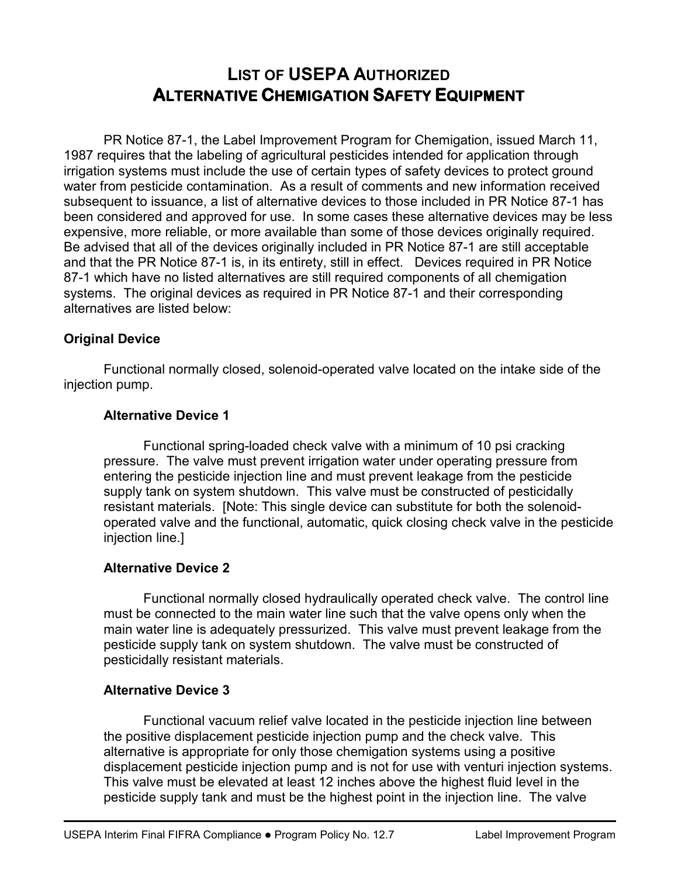# **LIST OF USEPA AUTHORIZED ALTERNATIVE CHEMIGATION SAFETY EQUIPMENT**

PR Notice 87-1, the Label Improvement Program for Chemigation, issued March 11, 1987 requires that the labeling of agricultural pesticides intended for application through irrigation systems must include the use of certain types of safety devices to protect ground water from pesticide contamination. As a result of comments and new information received subsequent to issuance, a list of alternative devices to those included in PR Notice 87-1 has been considered and approved for use. In some cases these alternative devices may be less expensive, more reliable, or more available than some of those devices originally required. Be advised that all of the devices originally included in PR Notice 87-1 are still acceptable and that the PR Notice 87-1 is, in its entirety, still in effect. Devices required in PR Notice 87-1 which have no listed alternatives are still required components of all chemigation systems. The original devices as required in PR Notice 87-1 and their corresponding alternatives are listed below:

## **Original Device**

Functional normally closed, solenoid-operated valve located on the intake side of the injection pump.

## **Alternative Device 1**

Functional spring-loaded check valve with a minimum of 10 psi cracking pressure. The valve must prevent irrigation water under operating pressure from entering the pesticide injection line and must prevent leakage from the pesticide supply tank on system shutdown. This valve must be constructed of pesticidally resistant materials. [Note: This single device can substitute for both the solenoidoperated valve and the functional, automatic, quick closing check valve in the pesticide injection line.]

## **Alternative Device 2**

Functional normally closed hydraulically operated check valve. The control line must be connected to the main water line such that the valve opens only when the main water line is adequately pressurized. This valve must prevent leakage from the pesticide supply tank on system shutdown. The valve must be constructed of pesticidally resistant materials.

# **Alternative Device 3**

Functional vacuum relief valve located in the pesticide injection line between the positive displacement pesticide injection pump and the check valve. This alternative is appropriate for only those chemigation systems using a positive displacement pesticide injection pump and is not for use with venturi injection systems. This valve must be elevated at least 12 inches above the highest fluid level in the pesticide supply tank and must be the highest point in the injection line. The valve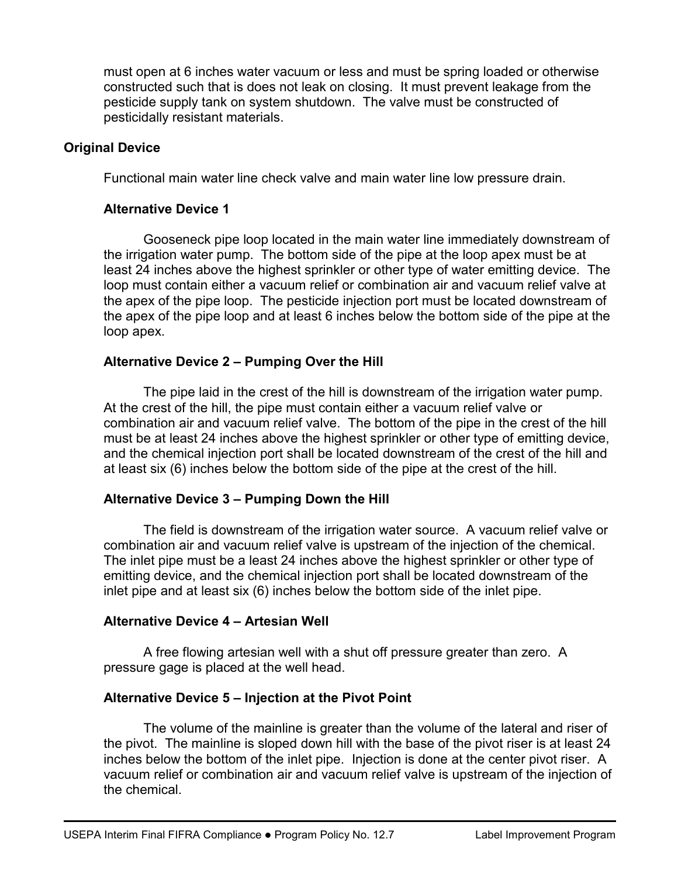must open at 6 inches water vacuum or less and must be spring loaded or otherwise constructed such that is does not leak on closing. It must prevent leakage from the pesticide supply tank on system shutdown. The valve must be constructed of pesticidally resistant materials.

## **Original Device**

Functional main water line check valve and main water line low pressure drain.

## **Alternative Device 1**

Gooseneck pipe loop located in the main water line immediately downstream of the irrigation water pump. The bottom side of the pipe at the loop apex must be at least 24 inches above the highest sprinkler or other type of water emitting device. The loop must contain either a vacuum relief or combination air and vacuum relief valve at the apex of the pipe loop. The pesticide injection port must be located downstream of the apex of the pipe loop and at least 6 inches below the bottom side of the pipe at the loop apex.

## **Alternative Device 2 – Pumping Over the Hill**

The pipe laid in the crest of the hill is downstream of the irrigation water pump. At the crest of the hill, the pipe must contain either a vacuum relief valve or combination air and vacuum relief valve. The bottom of the pipe in the crest of the hill must be at least 24 inches above the highest sprinkler or other type of emitting device, and the chemical injection port shall be located downstream of the crest of the hill and at least six (6) inches below the bottom side of the pipe at the crest of the hill.

## **Alternative Device 3 – Pumping Down the Hill**

The field is downstream of the irrigation water source. A vacuum relief valve or combination air and vacuum relief valve is upstream of the injection of the chemical. The inlet pipe must be a least 24 inches above the highest sprinkler or other type of emitting device, and the chemical injection port shall be located downstream of the inlet pipe and at least six (6) inches below the bottom side of the inlet pipe.

#### **Alternative Device 4 – Artesian Well**

A free flowing artesian well with a shut off pressure greater than zero. A pressure gage is placed at the well head.

#### **Alternative Device 5 – Injection at the Pivot Point**

The volume of the mainline is greater than the volume of the lateral and riser of the pivot. The mainline is sloped down hill with the base of the pivot riser is at least 24 inches below the bottom of the inlet pipe. Injection is done at the center pivot riser. A vacuum relief or combination air and vacuum relief valve is upstream of the injection of the chemical.